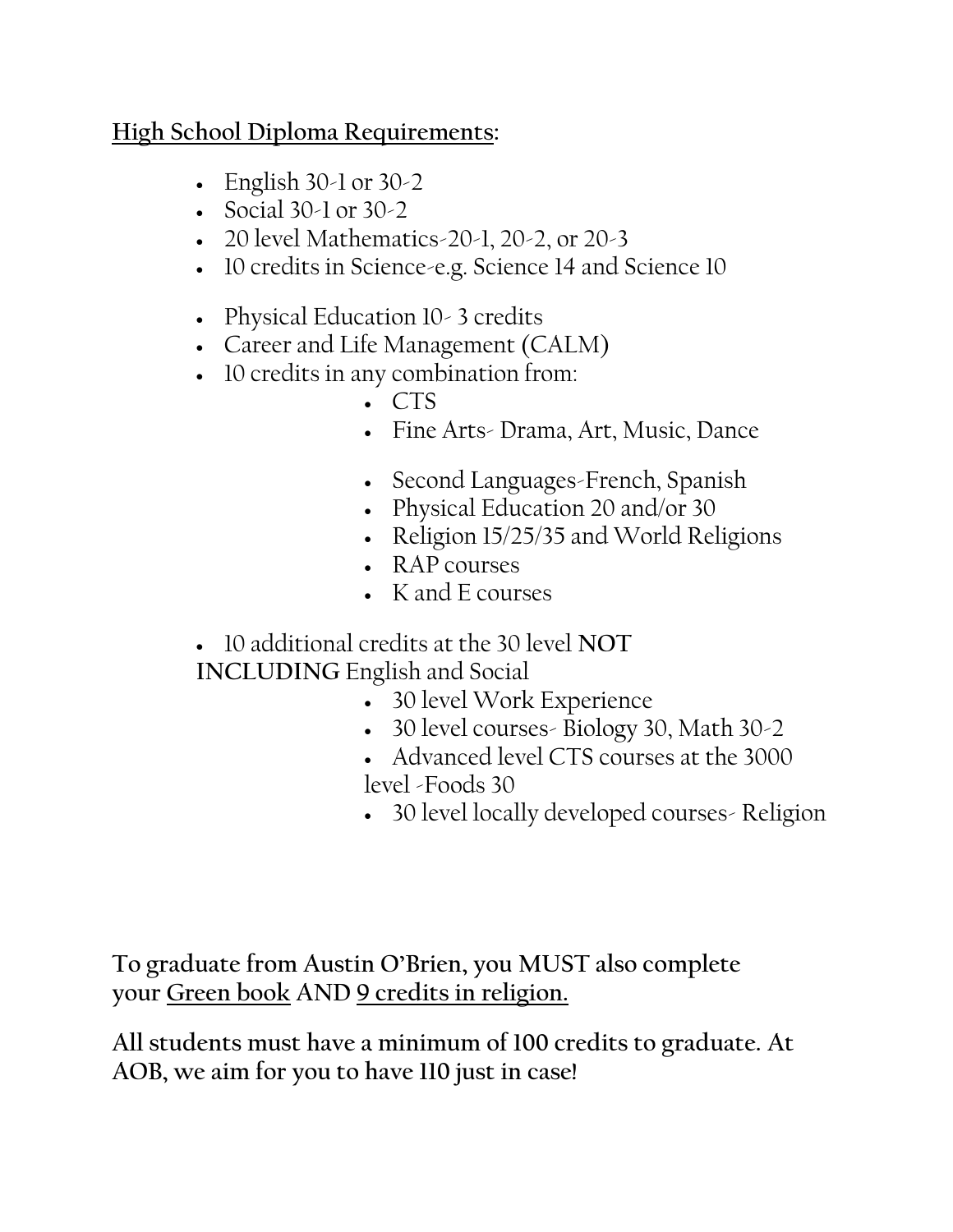### **High School Diploma Requirements:**

- English  $30-1$  or  $30-2$
- Social 30-1 or 30-2
- 20 level Mathematics-20-1, 20-2, or 20-3
- 10 credits in Science-e.g. Science 14 and Science 10
- Physical Education 10 3 credits
- Career and Life Management (CALM)
- 10 credits in any combination from:
	- CTS
	- Fine Arts- Drama, Art, Music, Dance
	- Second Languages-French, Spanish
	- Physical Education 20 and/or 30
	- Religion 15/25/35 and World Religions
	- RAP courses
	- K and E courses
- 10 additional credits at the 30 level **NOT INCLUDING** English and Social
	- 30 level Work Experience
	- 30 level courses- Biology 30, Math 30-2
	- Advanced level CTS courses at the 3000 level -Foods 30
	- 30 level locally developed courses- Religion

**To graduate from Austin O'Brien, you MUST also complete your Green book AND 9 credits in religion.**

**All students must have a minimum of 100 credits to graduate. At AOB, we aim for you to have 110 just in case!**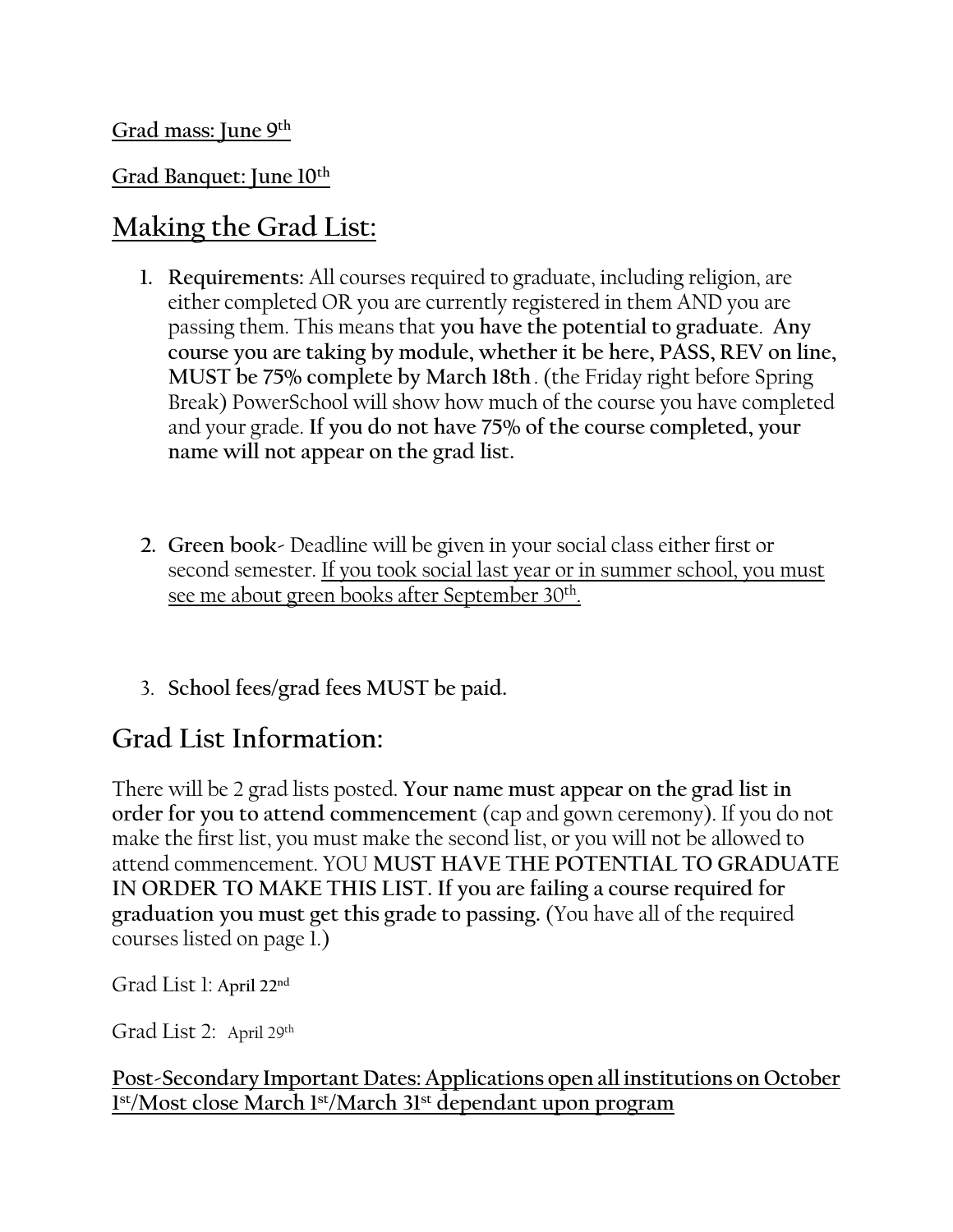### **Grad Banquet: June 10th**

# **Making the Grad List:**

- **1. Requirements:** All courses required to graduate, including religion, are either completed OR you are currently registered in them AND you are passing them. This means that **you have the potential to graduate**. **Any course you are taking by module, whether it be here, PASS, REV on line, MUST be 75% complete by March 18th**. (the Friday right before Spring Break) PowerSchool will show how much of the course you have completed and your grade. **If you do not have 75% of the course completed, your name will not appear on the grad list.**
- **2. Green book-** Deadline will be given in your social class either first or second semester. If you took social last year or in summer school, you must see me about green books after September 30th .
- 3. **School fees/grad fees MUST be paid.**

# **Grad List Information:**

There will be 2 grad lists posted. **Your name must appear on the grad list in order for you to attend commencement** (cap and gown ceremony). If you do not make the first list, you must make the second list, or you will not be allowed to attend commencement. YOU **MUST HAVE THE POTENTIAL TO GRADUATE IN ORDER TO MAKE THIS LIST. If you are failing a course required for graduation you must get this grade to passing.** (You have all of the required courses listed on page 1.)

Grad List 1: April 22<sup>nd</sup>

Grad List 2: April 29th

#### **Post-Secondary Important Dates: Applications open all institutions on October 1 st/Most close March 1st/March 31st dependant upon program**